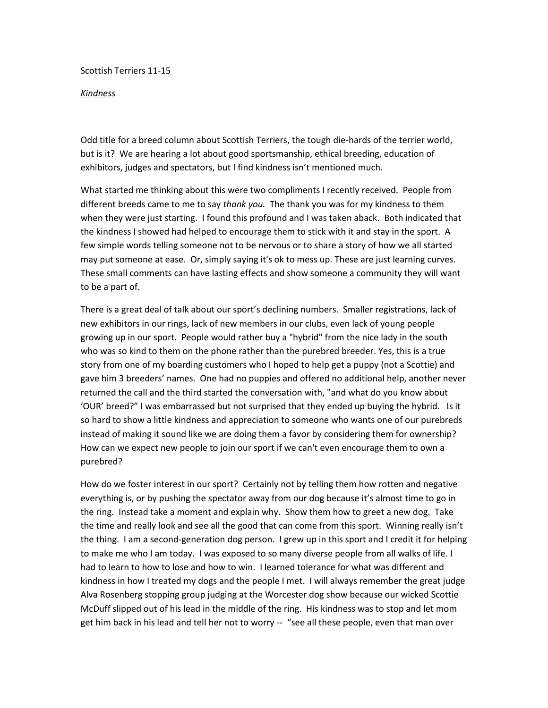Scottish Terriers 11-15

## *Kindness*

Odd title for a breed column about Scottish Terriers, the tough die-hards of the terrier world, but is it? We are hearing a lot about good sportsmanship, ethical breeding, education of exhibitors, judges and spectators, but I find kindness isn't mentioned much.

What started me thinking about this were two compliments I recently received. People from different breeds came to me to say *thank you.* The thank you was for my kindness to them when they were just starting. I found this profound and I was taken aback. Both indicated that the kindness I showed had helped to encourage them to stick with it and stay in the sport. A few simple words telling someone not to be nervous or to share a story of how we all started may put someone at ease. Or, simply saying it's ok to mess up. These are just learning curves. These small comments can have lasting effects and show someone a community they will want to be a part of.

There is a great deal of talk about our sport's declining numbers. Smaller registrations, lack of new exhibitors in our rings, lack of new members in our clubs, even lack of young people growing up in our sport. People would rather buy a "hybrid" from the nice lady in the south who was so kind to them on the phone rather than the purebred breeder. Yes, this is a true story from one of my boarding customers who I hoped to help get a puppy (not a Scottie) and gave him 3 breeders' names. One had no puppies and offered no additional help, another never returned the call and the third started the conversation with, "and what do you know about 'OUR' breed?" I was embarrassed but not surprised that they ended up buying the hybrid. Is it so hard to show a little kindness and appreciation to someone who wants one of our purebreds instead of making it sound like we are doing them a favor by considering them for ownership? How can we expect new people to join our sport if we can't even encourage them to own a purebred?

How do we foster interest in our sport? Certainly not by telling them how rotten and negative everything is, or by pushing the spectator away from our dog because it's almost time to go in the ring. Instead take a moment and explain why. Show them how to greet a new dog. Take the time and really look and see all the good that can come from this sport. Winning really isn't the thing. I am a second-generation dog person. I grew up in this sport and I credit it for helping to make me who I am today. I was exposed to so many diverse people from all walks of life. I had to learn to how to lose and how to win. I learned tolerance for what was different and kindness in how I treated my dogs and the people I met. I will always remember the great judge Alva Rosenberg stopping group judging at the Worcester dog show because our wicked Scottie McDuff slipped out of his lead in the middle of the ring. His kindness was to stop and let mom get him back in his lead and tell her not to worry -- "see all these people, even that man over